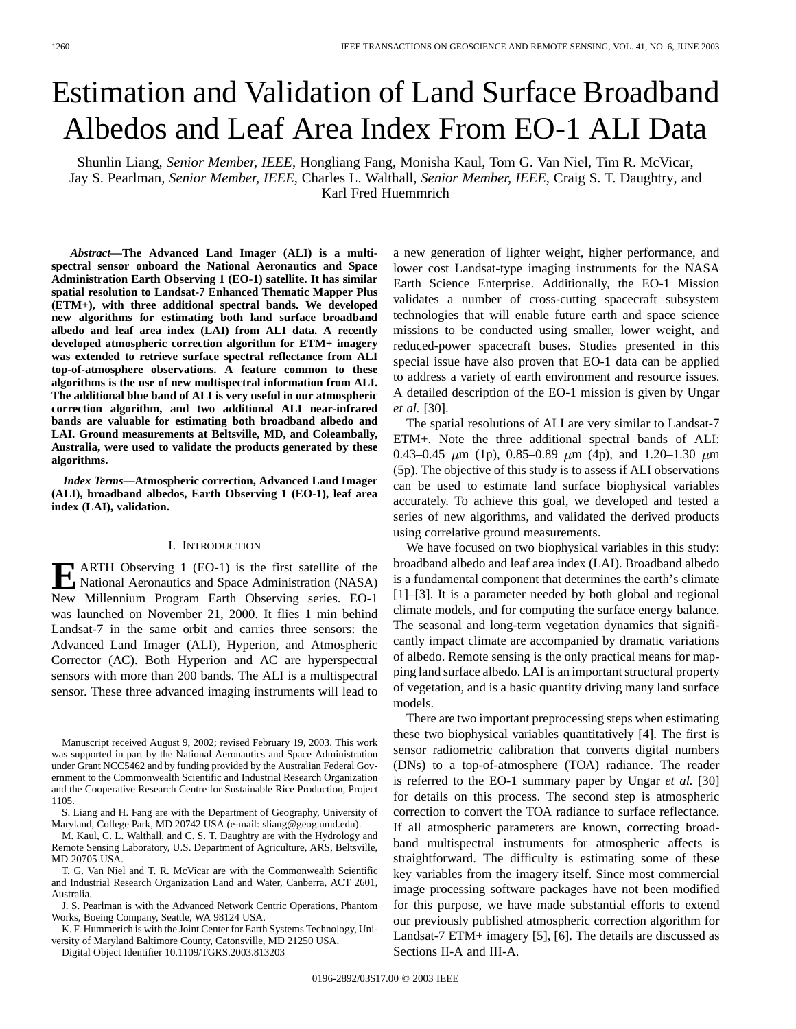# Estimation and Validation of Land Surface Broadband Albedos and Leaf Area Index From EO-1 ALI Data

Shunlin Liang*, Senior Member, IEEE*, Hongliang Fang, Monisha Kaul, Tom G. Van Niel, Tim R. McVicar, Jay S. Pearlman*, Senior Member, IEEE*, Charles L. Walthall*, Senior Member, IEEE*, Craig S. T. Daughtry, and Karl Fred Huemmrich

*Abstract—***The Advanced Land Imager (ALI) is a multispectral sensor onboard the National Aeronautics and Space Administration Earth Observing 1 (EO-1) satellite. It has similar spatial resolution to Landsat-7 Enhanced Thematic Mapper Plus (ETM+), with three additional spectral bands. We developed new algorithms for estimating both land surface broadband albedo and leaf area index (LAI) from ALI data. A recently developed atmospheric correction algorithm for ETM+ imagery was extended to retrieve surface spectral reflectance from ALI top-of-atmosphere observations. A feature common to these algorithms is the use of new multispectral information from ALI. The additional blue band of ALI is very useful in our atmospheric correction algorithm, and two additional ALI near-infrared bands are valuable for estimating both broadband albedo and LAI. Ground measurements at Beltsville, MD, and Coleambally, Australia, were used to validate the products generated by these algorithms.**

*Index Terms—***Atmospheric correction, Advanced Land Imager (ALI), broadband albedos, Earth Observing 1 (EO-1), leaf area index (LAI), validation.**

#### I. INTRODUCTION

**E** ARTH Observing 1 (EO-1) is the first satellite of the National Aeronautics and Space Administration (NASA) New Millennium Program Earth Observing series. EO-1 was launched on November 21, 2000. It flies 1 min behind Landsat-7 in the same orbit and carries three sensors: the Advanced Land Imager (ALI), Hyperion, and Atmospheric Corrector (AC). Both Hyperion and AC are hyperspectral sensors with more than 200 bands. The ALI is a multispectral sensor. These three advanced imaging instruments will lead to

M. Kaul, C. L. Walthall, and C. S. T. Daughtry are with the Hydrology and Remote Sensing Laboratory, U.S. Department of Agriculture, ARS, Beltsville, MD 20705 USA.

- T. G. Van Niel and T. R. McVicar are with the Commonwealth Scientific and Industrial Research Organization Land and Water, Canberra, ACT 2601, Australia.
- J. S. Pearlman is with the Advanced Network Centric Operations, Phantom Works, Boeing Company, Seattle, WA 98124 USA.

K. F. Hummerich is with the Joint Center for Earth Systems Technology, University of Maryland Baltimore County, Catonsville, MD 21250 USA.

Digital Object Identifier 10.1109/TGRS.2003.813203

a new generation of lighter weight, higher performance, and lower cost Landsat-type imaging instruments for the NASA Earth Science Enterprise. Additionally, the EO-1 Mission validates a number of cross-cutting spacecraft subsystem technologies that will enable future earth and space science missions to be conducted using smaller, lower weight, and reduced-power spacecraft buses. Studies presented in this special issue have also proven that EO-1 data can be applied to address a variety of earth environment and resource issues. A detailed description of the EO-1 mission is given by Ungar *et al.* [30].

The spatial resolutions of ALI are very similar to Landsat-7 ETM+. Note the three additional spectral bands of ALI: 0.43–0.45  $\mu$ m (1p), 0.85–0.89  $\mu$ m (4p), and 1.20–1.30  $\mu$ m (5p). The objective of this study is to assess if ALI observations can be used to estimate land surface biophysical variables accurately. To achieve this goal, we developed and tested a series of new algorithms, and validated the derived products using correlative ground measurements.

We have focused on two biophysical variables in this study: broadband albedo and leaf area index (LAI). Broadband albedo is a fundamental component that determines the earth's climate [1]–[3]. It is a parameter needed by both global and regional climate models, and for computing the surface energy balance. The seasonal and long-term vegetation dynamics that significantly impact climate are accompanied by dramatic variations of albedo. Remote sensing is the only practical means for mapping land surface albedo. LAI is an important structural property of vegetation, and is a basic quantity driving many land surface models.

There are two important preprocessing steps when estimating these two biophysical variables quantitatively [4]. The first is sensor radiometric calibration that converts digital numbers (DNs) to a top-of-atmosphere (TOA) radiance. The reader is referred to the EO-1 summary paper by Ungar *et al.* [30] for details on this process. The second step is atmospheric correction to convert the TOA radiance to surface reflectance. If all atmospheric parameters are known, correcting broadband multispectral instruments for atmospheric affects is straightforward. The difficulty is estimating some of these key variables from the imagery itself. Since most commercial image processing software packages have not been modified for this purpose, we have made substantial efforts to extend our previously published atmospheric correction algorithm for Landsat-7 ETM+ imagery [5], [6]. The details are discussed as Sections II-A and III-A.

Manuscript received August 9, 2002; revised February 19, 2003. This work was supported in part by the National Aeronautics and Space Administration under Grant NCC5462 and by funding provided by the Australian Federal Government to the Commonwealth Scientific and Industrial Research Organization and the Cooperative Research Centre for Sustainable Rice Production, Project 1105.

S. Liang and H. Fang are with the Department of Geography, University of Maryland, College Park, MD 20742 USA (e-mail: sliang@geog.umd.edu).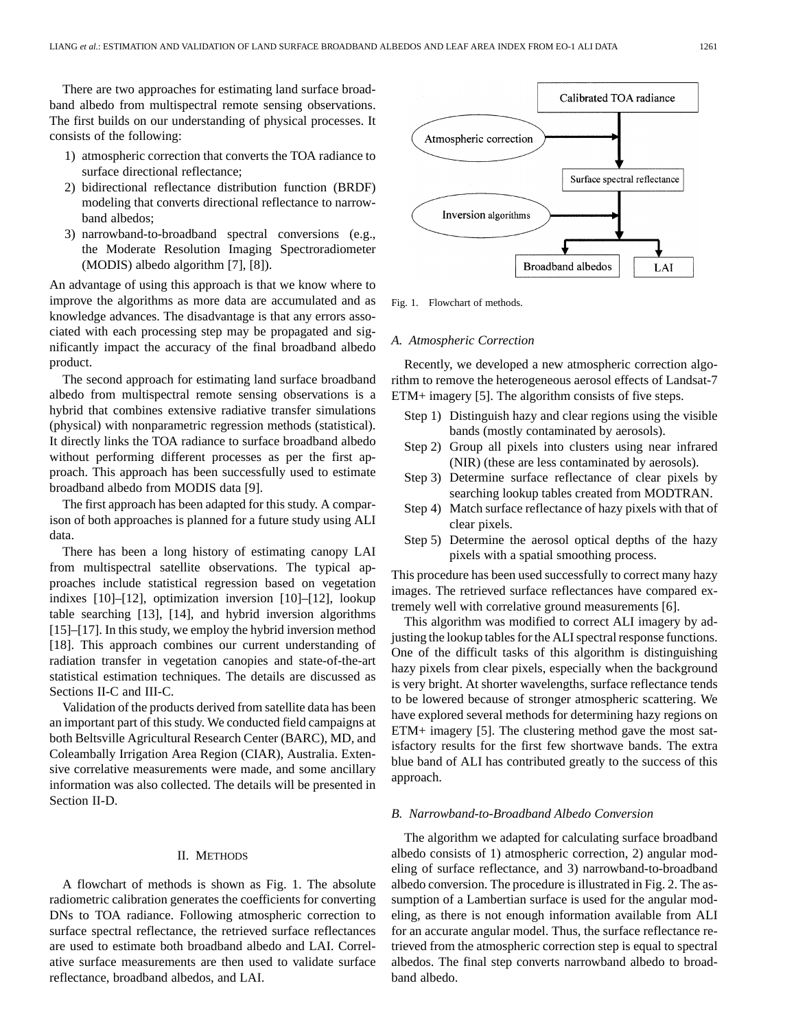There are two approaches for estimating land surface broadband albedo from multispectral remote sensing observations. The first builds on our understanding of physical processes. It consists of the following:

- 1) atmospheric correction that converts the TOA radiance to surface directional reflectance;
- 2) bidirectional reflectance distribution function (BRDF) modeling that converts directional reflectance to narrowband albedos;
- 3) narrowband-to-broadband spectral conversions (e.g., the Moderate Resolution Imaging Spectroradiometer (MODIS) albedo algorithm [7], [8]).

An advantage of using this approach is that we know where to improve the algorithms as more data are accumulated and as knowledge advances. The disadvantage is that any errors associated with each processing step may be propagated and significantly impact the accuracy of the final broadband albedo product.

The second approach for estimating land surface broadband albedo from multispectral remote sensing observations is a hybrid that combines extensive radiative transfer simulations (physical) with nonparametric regression methods (statistical). It directly links the TOA radiance to surface broadband albedo without performing different processes as per the first approach. This approach has been successfully used to estimate broadband albedo from MODIS data [9].

The first approach has been adapted for this study. A comparison of both approaches is planned for a future study using ALI data.

There has been a long history of estimating canopy LAI from multispectral satellite observations. The typical approaches include statistical regression based on vegetation indixes [10]–[12], optimization inversion [10]–[12], lookup table searching [13], [14], and hybrid inversion algorithms [15]–[17]. In this study, we employ the hybrid inversion method [18]. This approach combines our current understanding of radiation transfer in vegetation canopies and state-of-the-art statistical estimation techniques. The details are discussed as Sections II-C and III-C.

Validation of the products derived from satellite data has been an important part of this study. We conducted field campaigns at both Beltsville Agricultural Research Center (BARC), MD, and Coleambally Irrigation Area Region (CIAR), Australia. Extensive correlative measurements were made, and some ancillary information was also collected. The details will be presented in Section II-D.

# II. METHODS

A flowchart of methods is shown as Fig. 1. The absolute radiometric calibration generates the coefficients for converting DNs to TOA radiance. Following atmospheric correction to surface spectral reflectance, the retrieved surface reflectances are used to estimate both broadband albedo and LAI. Correlative surface measurements are then used to validate surface reflectance, broadband albedos, and LAI.



Fig. 1. Flowchart of methods.

#### *A. Atmospheric Correction*

Recently, we developed a new atmospheric correction algorithm to remove the heterogeneous aerosol effects of Landsat-7 ETM+ imagery [5]. The algorithm consists of five steps.

- Step 1) Distinguish hazy and clear regions using the visible bands (mostly contaminated by aerosols).
- Step 2) Group all pixels into clusters using near infrared (NIR) (these are less contaminated by aerosols).
- Step 3) Determine surface reflectance of clear pixels by searching lookup tables created from MODTRAN.
- Step 4) Match surface reflectance of hazy pixels with that of clear pixels.
- Step 5) Determine the aerosol optical depths of the hazy pixels with a spatial smoothing process.

This procedure has been used successfully to correct many hazy images. The retrieved surface reflectances have compared extremely well with correlative ground measurements [6].

This algorithm was modified to correct ALI imagery by adjusting the lookup tables for the ALI spectral response functions. One of the difficult tasks of this algorithm is distinguishing hazy pixels from clear pixels, especially when the background is very bright. At shorter wavelengths, surface reflectance tends to be lowered because of stronger atmospheric scattering. We have explored several methods for determining hazy regions on ETM+ imagery [5]. The clustering method gave the most satisfactory results for the first few shortwave bands. The extra blue band of ALI has contributed greatly to the success of this approach.

# *B. Narrowband-to-Broadband Albedo Conversion*

The algorithm we adapted for calculating surface broadband albedo consists of 1) atmospheric correction, 2) angular modeling of surface reflectance, and 3) narrowband-to-broadband albedo conversion. The procedure is illustrated in Fig. 2. The assumption of a Lambertian surface is used for the angular modeling, as there is not enough information available from ALI for an accurate angular model. Thus, the surface reflectance retrieved from the atmospheric correction step is equal to spectral albedos. The final step converts narrowband albedo to broadband albedo.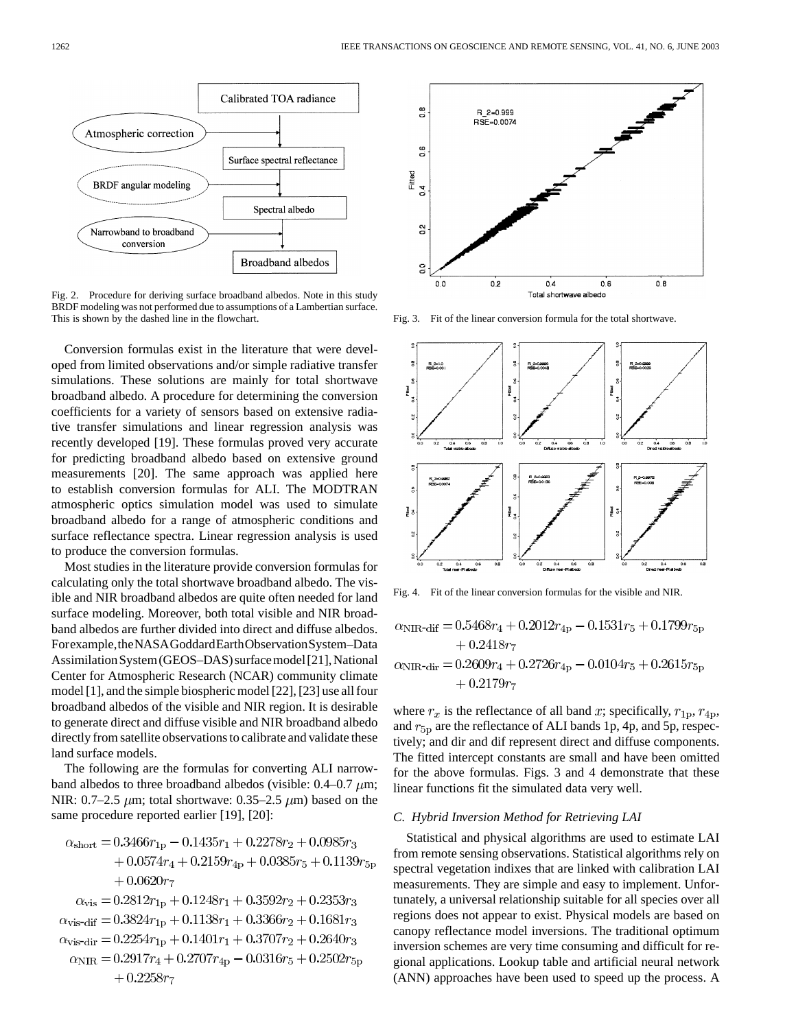

Fig. 2. Procedure for deriving surface broadband albedos. Note in this study BRDF modeling was not performed due to assumptions of a Lambertian surface. This is shown by the dashed line in the flowchart.

Conversion formulas exist in the literature that were developed from limited observations and/or simple radiative transfer simulations. These solutions are mainly for total shortwave broadband albedo. A procedure for determining the conversion coefficients for a variety of sensors based on extensive radiative transfer simulations and linear regression analysis was recently developed [19]. These formulas proved very accurate for predicting broadband albedo based on extensive ground measurements [20]. The same approach was applied here to establish conversion formulas for ALI. The MODTRAN atmospheric optics simulation model was used to simulate broadband albedo for a range of atmospheric conditions and surface reflectance spectra. Linear regression analysis is used to produce the conversion formulas.

Most studies in the literature provide conversion formulas for calculating only the total shortwave broadband albedo. The visible and NIR broadband albedos are quite often needed for land surface modeling. Moreover, both total visible and NIR broadband albedos are further divided into direct and diffuse albedos. Forexample,theNASAGoddardEarthObservationSystem–Data Assimilation System (GEOS–DAS) surface model [21], National Center for Atmospheric Research (NCAR) community climate model [1], and the simple biospheric model [22], [23] use all four broadband albedos of the visible and NIR region. It is desirable to generate direct and diffuse visible and NIR broadband albedo directly from satellite observations to calibrate and validate these land surface models.

The following are the formulas for converting ALI narrowband albedos to three broadband albedos (visible:  $0.4-0.7 \mu m$ ; NIR: 0.7–2.5  $\mu$ m; total shortwave: 0.35–2.5  $\mu$ m) based on the same procedure reported earlier [19], [20]:

$$
\begin{aligned} \alpha_{\mathrm{short}} = &0.3466r_{1{\mathrm{p}}}-0.1435r_1+0.2278r_2+0.0985r_3\\ &+0.0574r_4+0.2159r_{4{\mathrm{p}}}+0.0385r_5+0.1139r_{5{\mathrm{p}}} \\ &+0.0620r_7 \end{aligned}
$$

 $\alpha_{\rm vis} = 0.2812r_{1p} + 0.1248r_1 + 0.3592r_2 + 0.2353r_3$  $\alpha_{\rm vis-dif}=0.3824r_{1{\rm p}}+0.1138r_1+0.3366r_2+0.1681r_3$  $\alpha_{\rm vis\text{-}dir} = 0.2254r_{1p} + 0.1401r_1 + 0.3707r_2 + 0.2640r_3$  $\alpha_{\text{NIR}} = 0.2917r_4 + 0.2707r_{4\text{p}} - 0.0316r_5 + 0.2502r_{5\text{p}}$  $+0.2258r_7$ 



Fig. 3. Fit of the linear conversion formula for the total shortwave.



Fig. 4. Fit of the linear conversion formulas for the visible and NIR.

 $\alpha_{\text{NIR-dif}} = 0.5468r_4 + 0.2012r_{4p} - 0.1531r_5 + 0.1799r_{5p}$  $+0.2418r<sub>7</sub>$  $\alpha_{\text{NIR-dir}} = 0.2609r_4 + 0.2726r_{4p} - 0.0104r_5 + 0.2615r_{5p}$  $+0.2179r_7$ 

where  $r_x$  is the reflectance of all band x; specifically,  $r_{1p}$ ,  $r_{4p}$ , and  $r_{5p}$  are the reflectance of ALI bands 1p, 4p, and 5p, respectively; and dir and dif represent direct and diffuse components. The fitted intercept constants are small and have been omitted for the above formulas. Figs. 3 and 4 demonstrate that these linear functions fit the simulated data very well.

#### *C. Hybrid Inversion Method for Retrieving LAI*

Statistical and physical algorithms are used to estimate LAI from remote sensing observations. Statistical algorithms rely on spectral vegetation indixes that are linked with calibration LAI measurements. They are simple and easy to implement. Unfortunately, a universal relationship suitable for all species over all regions does not appear to exist. Physical models are based on canopy reflectance model inversions. The traditional optimum inversion schemes are very time consuming and difficult for regional applications. Lookup table and artificial neural network (ANN) approaches have been used to speed up the process. A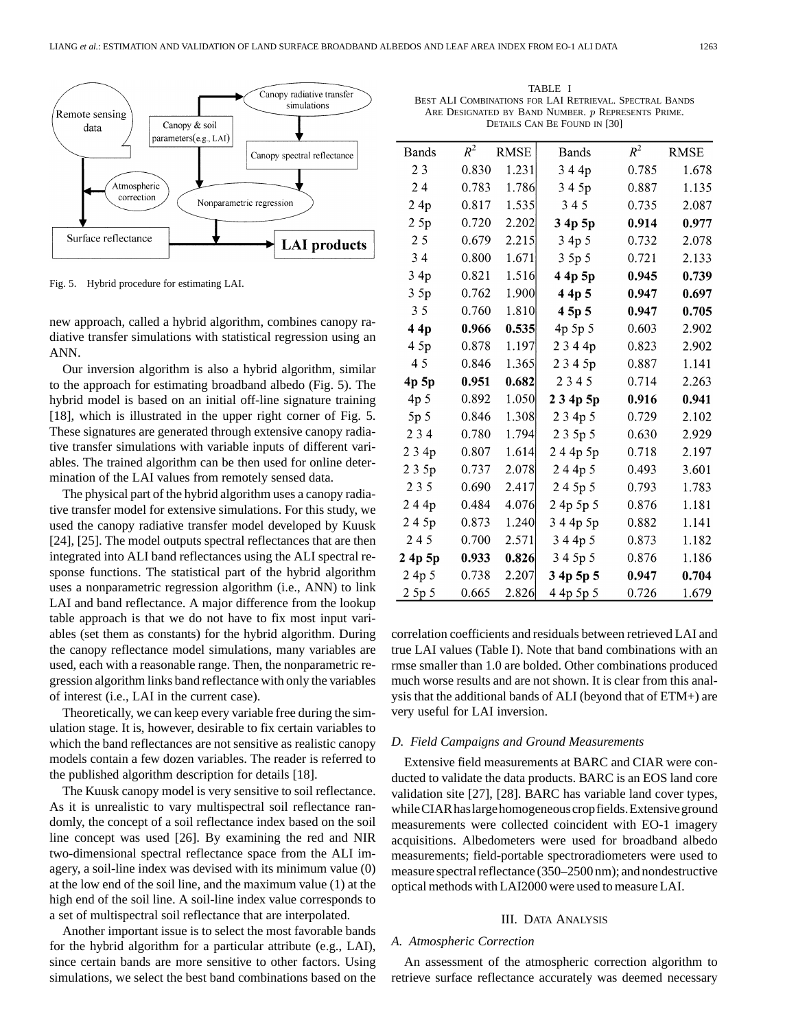

Fig. 5. Hybrid procedure for estimating LAI.

new approach, called a hybrid algorithm, combines canopy radiative transfer simulations with statistical regression using an ANN.

Our inversion algorithm is also a hybrid algorithm, similar to the approach for estimating broadband albedo (Fig. 5). The hybrid model is based on an initial off-line signature training [18], which is illustrated in the upper right corner of Fig. 5. These signatures are generated through extensive canopy radiative transfer simulations with variable inputs of different variables. The trained algorithm can be then used for online determination of the LAI values from remotely sensed data.

The physical part of the hybrid algorithm uses a canopy radiative transfer model for extensive simulations. For this study, we used the canopy radiative transfer model developed by Kuusk [24], [25]. The model outputs spectral reflectances that are then integrated into ALI band reflectances using the ALI spectral response functions. The statistical part of the hybrid algorithm uses a nonparametric regression algorithm (i.e., ANN) to link LAI and band reflectance. A major difference from the lookup table approach is that we do not have to fix most input variables (set them as constants) for the hybrid algorithm. During the canopy reflectance model simulations, many variables are used, each with a reasonable range. Then, the nonparametric regression algorithm links band reflectance with only the variables of interest (i.e., LAI in the current case).

Theoretically, we can keep every variable free during the simulation stage. It is, however, desirable to fix certain variables to which the band reflectances are not sensitive as realistic canopy models contain a few dozen variables. The reader is referred to the published algorithm description for details [18].

The Kuusk canopy model is very sensitive to soil reflectance. As it is unrealistic to vary multispectral soil reflectance randomly, the concept of a soil reflectance index based on the soil line concept was used [26]. By examining the red and NIR two-dimensional spectral reflectance space from the ALI imagery, a soil-line index was devised with its minimum value (0) at the low end of the soil line, and the maximum value (1) at the high end of the soil line. A soil-line index value corresponds to a set of multispectral soil reflectance that are interpolated.

Another important issue is to select the most favorable bands for the hybrid algorithm for a particular attribute (e.g., LAI), since certain bands are more sensitive to other factors. Using simulations, we select the best band combinations based on the

TABLE I BEST ALI COMBINATIONS FOR LAI RETRIEVAL. SPECTRAL BANDS ARE DESIGNATED BY BAND NUMBER. *p* REPRESENTS PRIME. DETAILS CAN BE FOUND IN [30]

| <b>Bands</b>    | $R^2$ | <b>RMSE</b> | Bands     | $R^2$ | <b>RMSE</b> |
|-----------------|-------|-------------|-----------|-------|-------------|
| 23              | 0.830 | 1.231       | 344p      | 0.785 | 1.678       |
| 24              | 0.783 | 1.786       | 3 4 5p    | 0.887 | 1.135       |
| 24p             | 0.817 | 1.535       | 345       | 0.735 | 2.087       |
| 25p             | 0.720 | 2.202       | 3 4p 5p   | 0.914 | 0.977       |
| 25              | 0.679 | 2.215       | 3 4p 5    | 0.732 | 2.078       |
| 34              | 0.800 | 1.671       | 3 5p 5    | 0.721 | 2.133       |
| 3 4p            | 0.821 | 1.516       | 4 4p 5p   | 0.945 | 0.739       |
| 3.5p            | 0.762 | 1.900       | 44p 5     | 0.947 | 0.697       |
| 35              | 0.760 | 1.810       | 4 5p 5    | 0.947 | 0.705       |
| 4 4p            | 0.966 | 0.535       | 4p 5p 5   | 0.603 | 2.902       |
| 4 5p            | 0.878 | 1.197       | 2344p     | 0.823 | 2.902       |
| 45              | 0.846 | 1.365       | 2345p     | 0.887 | 1.141       |
| 4p 5p           | 0.951 | 0.682       | 2345      | 0.714 | 2.263       |
| 4p <sub>5</sub> | 0.892 | 1.050       | 234p5p    | 0.916 | 0.941       |
| 5p <sub>5</sub> | 0.846 | 1.308       | 2 3 4p 5  | 0.729 | 2.102       |
| 2 3 4           | 0.780 | 1.794       | 2 3 5p 5  | 0.630 | 2.929       |
| 234p            | 0.807 | 1.614       | 244p5p    | 0.718 | 2.197       |
| 2 3 5p          | 0.737 | 2.078       | 244p5     | 0.493 | 3.601       |
| 2 3 5           | 0.690 | 2.417       | 245p5     | 0.793 | 1.783       |
| 244p            | 0.484 | 4.076       | 2 4p 5p 5 | 0.876 | 1.181       |
| 245p            | 0.873 | 1.240       | 3 4 4p 5p | 0.882 | 1.141       |
| 245             | 0.700 | 2.571       | 3 4 4p 5  | 0.873 | 1.182       |
| 2 4p 5p         | 0.933 | 0.826       | 3 4 5p 5  | 0.876 | 1.186       |
| 2 4p 5          | 0.738 | 2.207       | 3 4p 5p 5 | 0.947 | 0.704       |
| 2 5p 5          | 0.665 | 2.826       | 4 4p 5p 5 | 0.726 | 1.679       |

correlation coefficients and residuals between retrieved LAI and true LAI values (Table I). Note that band combinations with an rmse smaller than 1.0 are bolded. Other combinations produced much worse results and are not shown. It is clear from this analysis that the additional bands of ALI (beyond that of ETM+) are very useful for LAI inversion.

#### *D. Field Campaigns and Ground Measurements*

Extensive field measurements at BARC and CIAR were conducted to validate the data products. BARC is an EOS land core validation site [27], [28]. BARC has variable land cover types, whileCIARhaslargehomogeneouscropfields.Extensiveground measurements were collected coincident with EO-1 imagery acquisitions. Albedometers were used for broadband albedo measurements; field-portable spectroradiometers were used to measure spectral reflectance (350–2500 nm); and nondestructive optical methods with LAI2000 were used to measure LAI.

#### III. DATA ANALYSIS

## *A. Atmospheric Correction*

An assessment of the atmospheric correction algorithm to retrieve surface reflectance accurately was deemed necessary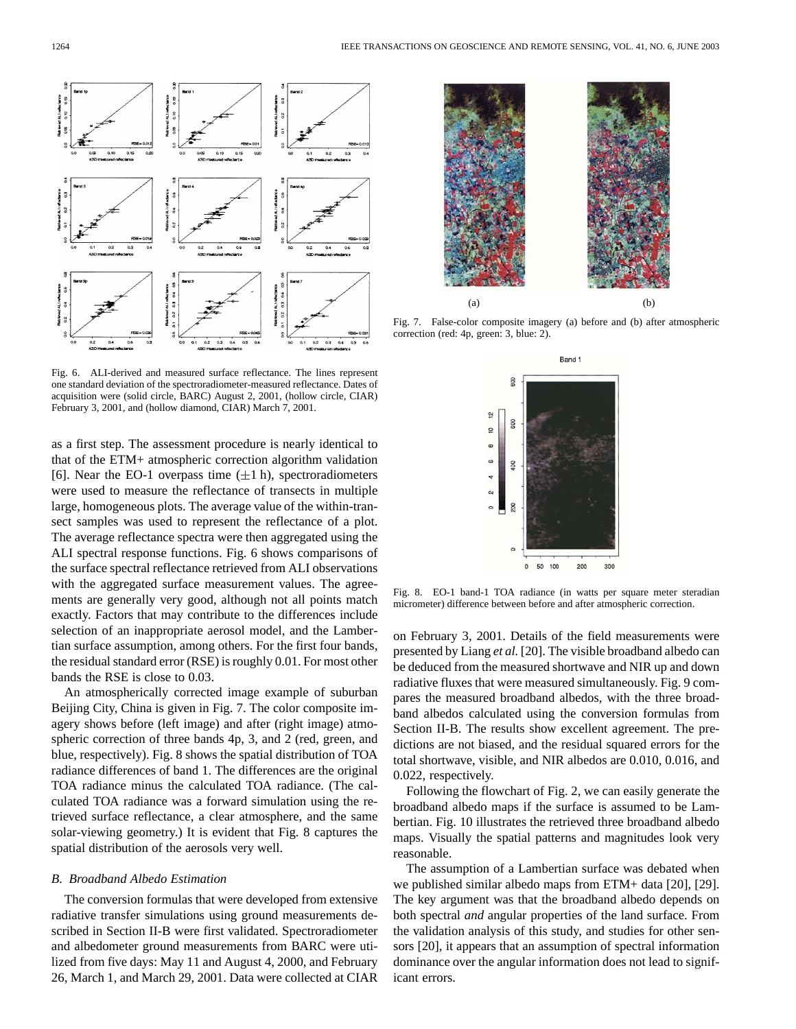

Fig. 6. ALI-derived and measured surface reflectance. The lines represent one standard deviation of the spectroradiometer-measured reflectance. Dates of acquisition were (solid circle, BARC) August 2, 2001, (hollow circle, CIAR) February 3, 2001, and (hollow diamond, CIAR) March 7, 2001.

as a first step. The assessment procedure is nearly identical to that of the ETM+ atmospheric correction algorithm validation [6]. Near the EO-1 overpass time  $(\pm 1 \text{ h})$ , spectroradiometers were used to measure the reflectance of transects in multiple large, homogeneous plots. The average value of the within-transect samples was used to represent the reflectance of a plot. The average reflectance spectra were then aggregated using the ALI spectral response functions. Fig. 6 shows comparisons of the surface spectral reflectance retrieved from ALI observations with the aggregated surface measurement values. The agreements are generally very good, although not all points match exactly. Factors that may contribute to the differences include selection of an inappropriate aerosol model, and the Lambertian surface assumption, among others. For the first four bands, the residual standard error (RSE) is roughly 0.01. For most other bands the RSE is close to 0.03.

An atmospherically corrected image example of suburban Beijing City, China is given in Fig. 7. The color composite imagery shows before (left image) and after (right image) atmospheric correction of three bands 4p, 3, and 2 (red, green, and blue, respectively). Fig. 8 shows the spatial distribution of TOA radiance differences of band 1. The differences are the original TOA radiance minus the calculated TOA radiance. (The calculated TOA radiance was a forward simulation using the retrieved surface reflectance, a clear atmosphere, and the same solar-viewing geometry.) It is evident that Fig. 8 captures the spatial distribution of the aerosols very well.

# *B. Broadband Albedo Estimation*

The conversion formulas that were developed from extensive radiative transfer simulations using ground measurements described in Section II-B were first validated. Spectroradiometer and albedometer ground measurements from BARC were utilized from five days: May 11 and August 4, 2000, and February 26, March 1, and March 29, 2001. Data were collected at CIAR



Fig. 7. False-color composite imagery (a) before and (b) after atmospheric correction (red: 4p, green: 3, blue: 2).



Fig. 8. EO-1 band-1 TOA radiance (in watts per square meter steradian micrometer) difference between before and after atmospheric correction.

on February 3, 2001. Details of the field measurements were presented by Liang *et al.* [20]. The visible broadband albedo can be deduced from the measured shortwave and NIR up and down radiative fluxes that were measured simultaneously. Fig. 9 compares the measured broadband albedos, with the three broadband albedos calculated using the conversion formulas from Section II-B. The results show excellent agreement. The predictions are not biased, and the residual squared errors for the total shortwave, visible, and NIR albedos are 0.010, 0.016, and 0.022, respectively.

Following the flowchart of Fig. 2, we can easily generate the broadband albedo maps if the surface is assumed to be Lambertian. Fig. 10 illustrates the retrieved three broadband albedo maps. Visually the spatial patterns and magnitudes look very reasonable.

The assumption of a Lambertian surface was debated when we published similar albedo maps from ETM+ data [20], [29]. The key argument was that the broadband albedo depends on both spectral *and* angular properties of the land surface. From the validation analysis of this study, and studies for other sensors [20], it appears that an assumption of spectral information dominance over the angular information does not lead to significant errors.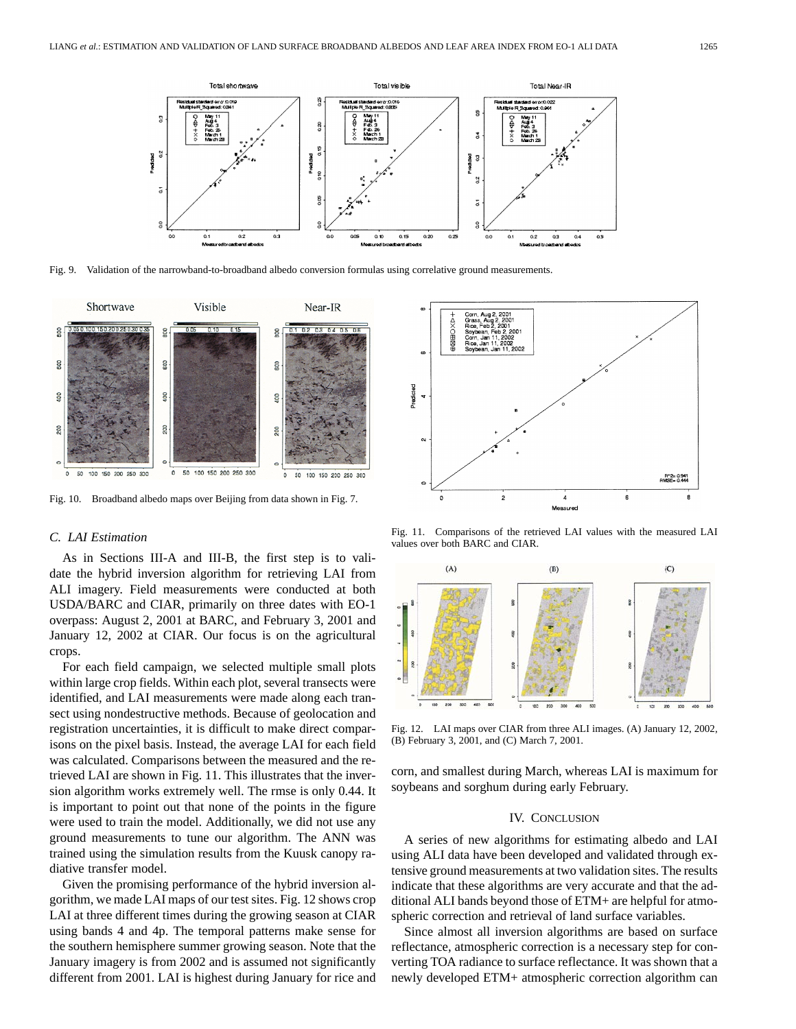

Fig. 9. Validation of the narrowband-to-broadband albedo conversion formulas using correlative ground measurements.



Fig. 10. Broadband albedo maps over Beijing from data shown in Fig. 7.

## *C. LAI Estimation*

As in Sections III-A and III-B, the first step is to validate the hybrid inversion algorithm for retrieving LAI from ALI imagery. Field measurements were conducted at both USDA/BARC and CIAR, primarily on three dates with EO-1 overpass: August 2, 2001 at BARC, and February 3, 2001 and January 12, 2002 at CIAR. Our focus is on the agricultural crops.

For each field campaign, we selected multiple small plots within large crop fields. Within each plot, several transects were identified, and LAI measurements were made along each transect using nondestructive methods. Because of geolocation and registration uncertainties, it is difficult to make direct comparisons on the pixel basis. Instead, the average LAI for each field was calculated. Comparisons between the measured and the retrieved LAI are shown in Fig. 11. This illustrates that the inversion algorithm works extremely well. The rmse is only 0.44. It is important to point out that none of the points in the figure were used to train the model. Additionally, we did not use any ground measurements to tune our algorithm. The ANN was trained using the simulation results from the Kuusk canopy radiative transfer model.

Given the promising performance of the hybrid inversion algorithm, we made LAI maps of our test sites. Fig. 12 shows crop LAI at three different times during the growing season at CIAR using bands 4 and 4p. The temporal patterns make sense for the southern hemisphere summer growing season. Note that the January imagery is from 2002 and is assumed not significantly different from 2001. LAI is highest during January for rice and



Fig. 11. Comparisons of the retrieved LAI values with the measured LAI values over both BARC and CIAR.



Fig. 12. LAI maps over CIAR from three ALI images. (A) January 12, 2002, (B) February 3, 2001, and (C) March 7, 2001.

corn, and smallest during March, whereas LAI is maximum for soybeans and sorghum during early February.

#### IV. CONCLUSION

A series of new algorithms for estimating albedo and LAI using ALI data have been developed and validated through extensive ground measurements at two validation sites. The results indicate that these algorithms are very accurate and that the additional ALI bands beyond those of ETM+ are helpful for atmospheric correction and retrieval of land surface variables.

Since almost all inversion algorithms are based on surface reflectance, atmospheric correction is a necessary step for converting TOA radiance to surface reflectance. It was shown that a newly developed ETM+ atmospheric correction algorithm can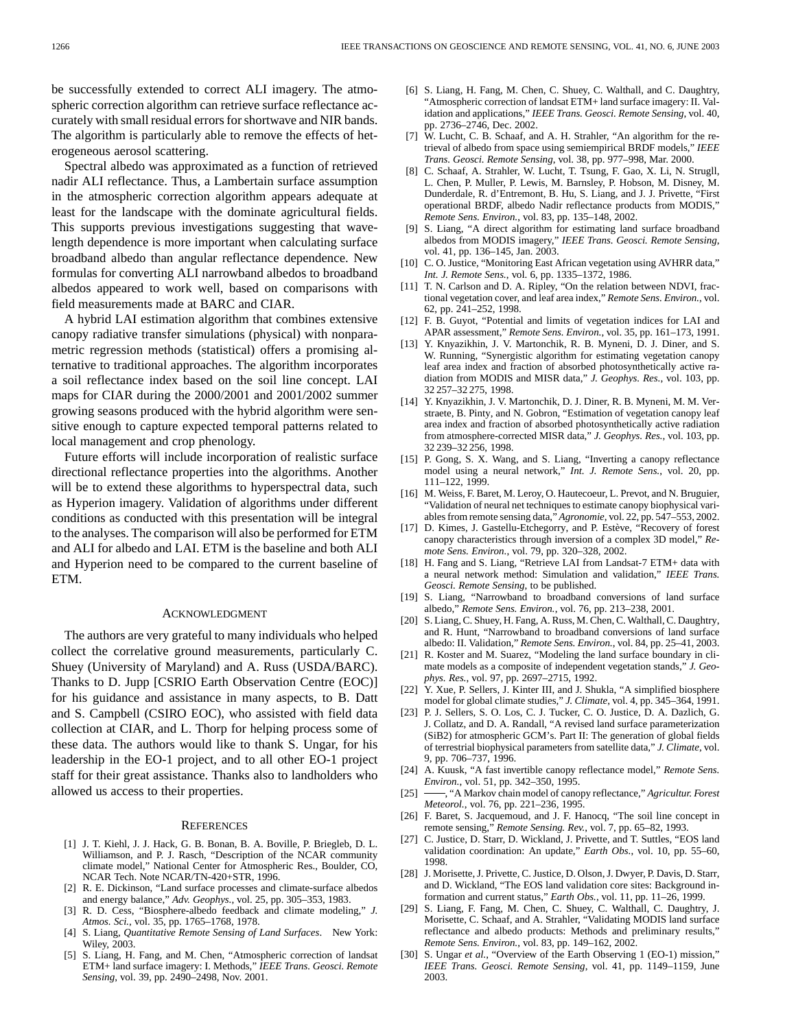be successfully extended to correct ALI imagery. The atmospheric correction algorithm can retrieve surface reflectance accurately with small residual errors for shortwave and NIR bands. The algorithm is particularly able to remove the effects of heterogeneous aerosol scattering.

Spectral albedo was approximated as a function of retrieved nadir ALI reflectance. Thus, a Lambertain surface assumption in the atmospheric correction algorithm appears adequate at least for the landscape with the dominate agricultural fields. This supports previous investigations suggesting that wavelength dependence is more important when calculating surface broadband albedo than angular reflectance dependence. New formulas for converting ALI narrowband albedos to broadband albedos appeared to work well, based on comparisons with field measurements made at BARC and CIAR.

A hybrid LAI estimation algorithm that combines extensive canopy radiative transfer simulations (physical) with nonparametric regression methods (statistical) offers a promising alternative to traditional approaches. The algorithm incorporates a soil reflectance index based on the soil line concept. LAI maps for CIAR during the 2000/2001 and 2001/2002 summer growing seasons produced with the hybrid algorithm were sensitive enough to capture expected temporal patterns related to local management and crop phenology.

Future efforts will include incorporation of realistic surface directional reflectance properties into the algorithms. Another will be to extend these algorithms to hyperspectral data, such as Hyperion imagery. Validation of algorithms under different conditions as conducted with this presentation will be integral to the analyses. The comparison will also be performed for ETM and ALI for albedo and LAI. ETM is the baseline and both ALI and Hyperion need to be compared to the current baseline of ETM.

#### ACKNOWLEDGMENT

The authors are very grateful to many individuals who helped collect the correlative ground measurements, particularly C. Shuey (University of Maryland) and A. Russ (USDA/BARC). Thanks to D. Jupp [CSRIO Earth Observation Centre (EOC)] for his guidance and assistance in many aspects, to B. Datt and S. Campbell (CSIRO EOC), who assisted with field data collection at CIAR, and L. Thorp for helping process some of these data. The authors would like to thank S. Ungar, for his leadership in the EO-1 project, and to all other EO-1 project staff for their great assistance. Thanks also to landholders who allowed us access to their properties.

#### **REFERENCES**

- [1] J. T. Kiehl, J. J. Hack, G. B. Bonan, B. A. Boville, P. Briegleb, D. L. Williamson, and P. J. Rasch, "Description of the NCAR community climate model," National Center for Atmospheric Res., Boulder, CO, NCAR Tech. Note NCAR/TN-420+STR, 1996.
- [2] R. E. Dickinson, "Land surface processes and climate-surface albedos" and energy balance," *Adv. Geophys.*, vol. 25, pp. 305–353, 1983.
- [3] R. D. Cess, "Biosphere-albedo feedback and climate modeling," *J. Atmos. Sci.*, vol. 35, pp. 1765–1768, 1978.
- [4] S. Liang, *Quantitative Remote Sensing of Land Surfaces*. New York: Wiley, 2003.
- [5] S. Liang, H. Fang, and M. Chen, "Atmospheric correction of landsat ETM+ land surface imagery: I. Methods," *IEEE Trans. Geosci. Remote Sensing*, vol. 39, pp. 2490–2498, Nov. 2001.
- [6] S. Liang, H. Fang, M. Chen, C. Shuey, C. Walthall, and C. Daughtry, "Atmospheric correction of landsat ETM+ land surface imagery: II. Validation and applications," *IEEE Trans. Geosci. Remote Sensing*, vol. 40, pp. 2736–2746, Dec. 2002.
- [7] W. Lucht, C. B. Schaaf, and A. H. Strahler, "An algorithm for the retrieval of albedo from space using semiempirical BRDF models," *IEEE Trans. Geosci. Remote Sensing*, vol. 38, pp. 977–998, Mar. 2000.
- [8] C. Schaaf, A. Strahler, W. Lucht, T. Tsung, F. Gao, X. Li, N. Strugll, L. Chen, P. Muller, P. Lewis, M. Barnsley, P. Hobson, M. Disney, M. Dunderdale, R. d'Entremont, B. Hu, S. Liang, and J. J. Privette, "First operational BRDF, albedo Nadir reflectance products from MODIS," *Remote Sens. Environ.*, vol. 83, pp. 135–148, 2002.
- [9] S. Liang, "A direct algorithm for estimating land surface broadband albedos from MODIS imagery," *IEEE Trans. Geosci. Remote Sensing*, vol. 41, pp. 136–145, Jan. 2003.
- [10] C. O. Justice, "Monitoring East African vegetation using AVHRR data," *Int. J. Remote Sens.*, vol. 6, pp. 1335–1372, 1986.
- [11] T. N. Carlson and D. A. Ripley, "On the relation between NDVI, fractional vegetation cover, and leaf area index," *Remote Sens. Environ.*, vol. 62, pp. 241–252, 1998.
- [12] F. B. Guyot, "Potential and limits of vegetation indices for LAI and APAR assessment," *Remote Sens. Environ.*, vol. 35, pp. 161–173, 1991.
- [13] Y. Knyazikhin, J. V. Martonchik, R. B. Myneni, D. J. Diner, and S. W. Running, "Synergistic algorithm for estimating vegetation canopy leaf area index and fraction of absorbed photosynthetically active radiation from MODIS and MISR data," *J. Geophys. Res.*, vol. 103, pp. 32 257–32 275, 1998.
- [14] Y. Knyazikhin, J. V. Martonchik, D. J. Diner, R. B. Myneni, M. M. Verstraete, B. Pinty, and N. Gobron, "Estimation of vegetation canopy leaf area index and fraction of absorbed photosynthetically active radiation from atmosphere-corrected MISR data," *J. Geophys. Res.*, vol. 103, pp. 32 239–32 256, 1998.
- [15] P. Gong, S. X. Wang, and S. Liang, "Inverting a canopy reflectance model using a neural network," *Int. J. Remote Sens.*, vol. 20, pp. 111–122, 1999.
- [16] M. Weiss, F. Baret, M. Leroy, O. Hautecoeur, L. Prevot, and N. Bruguier, "Validation of neural net techniques to estimate canopy biophysical variables from remote sensing data," *Agronomie*, vol. 22, pp. 547–553, 2002.
- [17] D. Kimes, J. Gastellu-Etchegorry, and P. Estève, "Recovery of forest canopy characteristics through inversion of a complex 3D model," *Remote Sens. Environ.*, vol. 79, pp. 320–328, 2002.
- [18] H. Fang and S. Liang, "Retrieve LAI from Landsat-7 ETM+ data with a neural network method: Simulation and validation," *IEEE Trans. Geosci. Remote Sensing*, to be published.
- [19] S. Liang, "Narrowband to broadband conversions of land surface albedo," *Remote Sens. Environ.*, vol. 76, pp. 213–238, 2001.
- [20] S. Liang, C. Shuey, H. Fang, A. Russ, M. Chen, C. Walthall, C. Daughtry, and R. Hunt, "Narrowband to broadband conversions of land surface albedo: II. Validation," *Remote Sens. Environ.*, vol. 84, pp. 25–41, 2003.
- [21] R. Koster and M. Suarez, "Modeling the land surface boundary in climate models as a composite of independent vegetation stands," *J. Geophys. Res.*, vol. 97, pp. 2697–2715, 1992.
- [22] Y. Xue, P. Sellers, J. Kinter III, and J. Shukla, "A simplified biosphere model for global climate studies," *J. Climate*, vol. 4, pp. 345–364, 1991.
- [23] P. J. Sellers, S. O. Los, C. J. Tucker, C. O. Justice, D. A. Dazlich, G. J. Collatz, and D. A. Randall, "A revised land surface parameterization (SiB2) for atmospheric GCM's. Part II: The generation of global fields of terrestrial biophysical parameters from satellite data," *J. Climate*, vol. 9, pp. 706–737, 1996.
- [24] A. Kuusk, "A fast invertible canopy reflectance model," *Remote Sens. Environ.*, vol. 51, pp. 342–350, 1995.
- [25] , "A Markov chain model of canopy reflectance," *Agricultur. Forest Meteorol.*, vol. 76, pp. 221–236, 1995.
- [26] F. Baret, S. Jacquemoud, and J. F. Hanocq, "The soil line concept in remote sensing," *Remote Sensing. Rev.*, vol. 7, pp. 65–82, 1993.
- [27] C. Justice, D. Starr, D. Wickland, J. Privette, and T. Suttles, "EOS land validation coordination: An update," *Earth Obs.*, vol. 10, pp. 55–60, 1998.
- [28] J. Morisette, J. Privette, C. Justice, D. Olson, J. Dwyer, P. Davis, D. Starr, and D. Wickland, "The EOS land validation core sites: Background information and current status," *Earth Obs.*, vol. 11, pp. 11–26, 1999.
- [29] S. Liang, F. Fang, M. Chen, C. Shuey, C. Walthall, C. Daughtry, J. Morisette, C. Schaaf, and A. Strahler, "Validating MODIS land surface reflectance and albedo products: Methods and preliminary results, *Remote Sens. Environ.*, vol. 83, pp. 149–162, 2002.
- [30] S. Ungar et al., "Overview of the Earth Observing 1 (EO-1) mission," *IEEE Trans. Geosci. Remote Sensing*, vol. 41, pp. 1149–1159, June 2003.